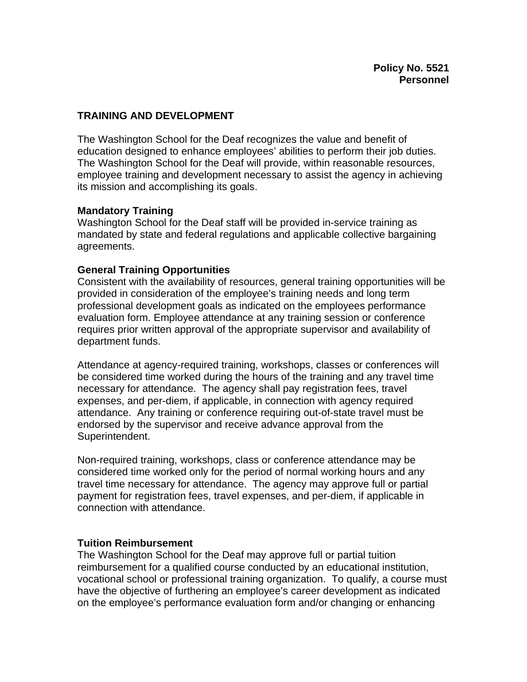# **TRAINING AND DEVELOPMENT**

The Washington School for the Deaf recognizes the value and benefit of education designed to enhance employees' abilities to perform their job duties. The Washington School for the Deaf will provide, within reasonable resources, employee training and development necessary to assist the agency in achieving its mission and accomplishing its goals.

## **Mandatory Training**

Washington School for the Deaf staff will be provided in-service training as mandated by state and federal regulations and applicable collective bargaining agreements.

## **General Training Opportunities**

Consistent with the availability of resources, general training opportunities will be provided in consideration of the employee's training needs and long term professional development goals as indicated on the employees performance evaluation form. Employee attendance at any training session or conference requires prior written approval of the appropriate supervisor and availability of department funds.

Attendance at agency-required training, workshops, classes or conferences will be considered time worked during the hours of the training and any travel time necessary for attendance. The agency shall pay registration fees, travel expenses, and per-diem, if applicable, in connection with agency required attendance. Any training or conference requiring out-of-state travel must be endorsed by the supervisor and receive advance approval from the Superintendent.

Non-required training, workshops, class or conference attendance may be considered time worked only for the period of normal working hours and any travel time necessary for attendance. The agency may approve full or partial payment for registration fees, travel expenses, and per-diem, if applicable in connection with attendance.

## **Tuition Reimbursement**

The Washington School for the Deaf may approve full or partial tuition reimbursement for a qualified course conducted by an educational institution, vocational school or professional training organization. To qualify, a course must have the objective of furthering an employee's career development as indicated on the employee's performance evaluation form and/or changing or enhancing